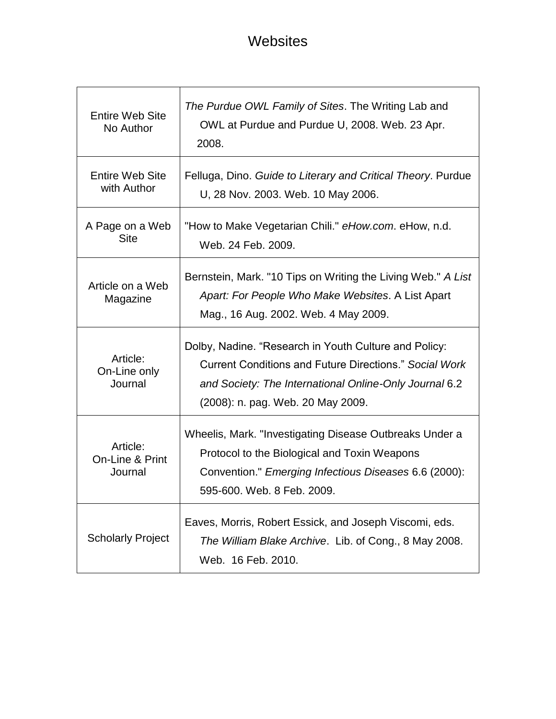## Websites

| <b>Entire Web Site</b><br>No Author    | The Purdue OWL Family of Sites. The Writing Lab and<br>OWL at Purdue and Purdue U, 2008. Web. 23 Apr.<br>2008.                                                                                                        |
|----------------------------------------|-----------------------------------------------------------------------------------------------------------------------------------------------------------------------------------------------------------------------|
| <b>Entire Web Site</b><br>with Author  | Felluga, Dino. Guide to Literary and Critical Theory. Purdue<br>U, 28 Nov. 2003. Web. 10 May 2006.                                                                                                                    |
| A Page on a Web<br><b>Site</b>         | "How to Make Vegetarian Chili." eHow.com. eHow, n.d.<br>Web. 24 Feb. 2009.                                                                                                                                            |
| Article on a Web<br>Magazine           | Bernstein, Mark. "10 Tips on Writing the Living Web." A List<br>Apart: For People Who Make Websites. A List Apart<br>Mag., 16 Aug. 2002. Web. 4 May 2009.                                                             |
| Article:<br>On-Line only<br>Journal    | Dolby, Nadine. "Research in Youth Culture and Policy:<br><b>Current Conditions and Future Directions." Social Work</b><br>and Society: The International Online-Only Journal 6.2<br>(2008): n. pag. Web. 20 May 2009. |
| Article:<br>On-Line & Print<br>Journal | Wheelis, Mark. "Investigating Disease Outbreaks Under a<br>Protocol to the Biological and Toxin Weapons<br>Convention." Emerging Infectious Diseases 6.6 (2000):<br>595-600, Web, 8 Feb, 2009.                        |
| <b>Scholarly Project</b>               | Eaves, Morris, Robert Essick, and Joseph Viscomi, eds.<br>The William Blake Archive. Lib. of Cong., 8 May 2008.<br>Web. 16 Feb. 2010.                                                                                 |